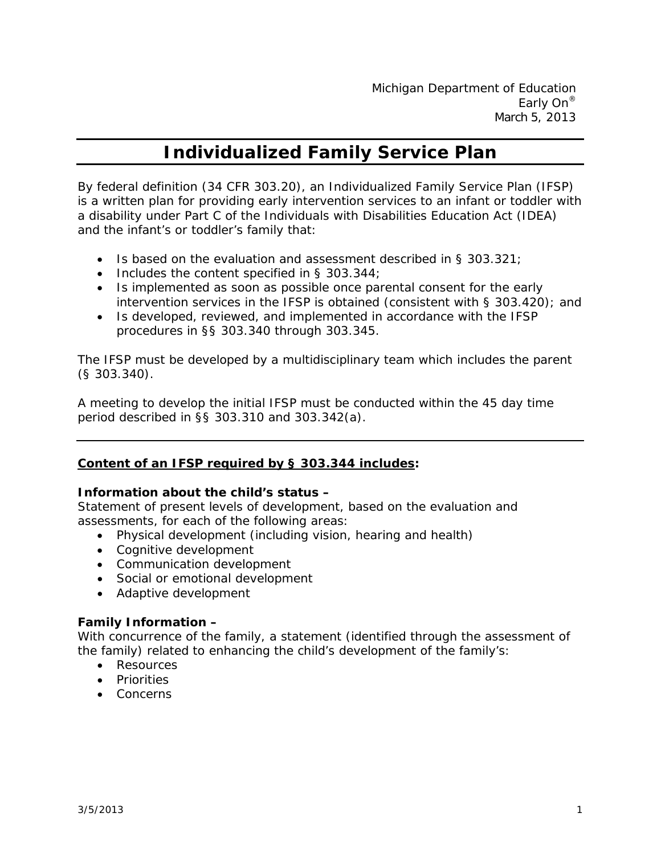# **Individualized Family Service Plan**

By federal definition (34 CFR 303.20), an Individualized Family Service Plan (IFSP) is a written plan for providing early intervention services to an infant or toddler with a disability under Part C of the Individuals with Disabilities Education Act (IDEA) and the infant's or toddler's family that:

- Is based on the evaluation and assessment described in § 303.321;
- Includes the content specified in § 303.344;
- Is implemented as soon as possible once parental consent for the early intervention services in the IFSP is obtained (consistent with § 303.420); and
- Is developed, reviewed, and implemented in accordance with the IFSP procedures in §§ 303.340 through 303.345.

The IFSP must be developed by a multidisciplinary team which includes the parent (§ 303.340).

A meeting to develop the initial IFSP must be conducted within the 45 day time period described in §§ 303.310 and 303.342(a).

#### **Content of an IFSP required by § 303.344 includes:**

#### **Information about the child's status –**

Statement of present levels of development, based on the evaluation and assessments, for each of the following areas:

- Physical development (including vision, hearing and health)
- Cognitive development
- Communication development
- Social or emotional development
- Adaptive development

#### **Family Information –**

With concurrence of the family, a statement (identified through the assessment of the family) related to enhancing the child's development of the family's:

- Resources
- Priorities
- Concerns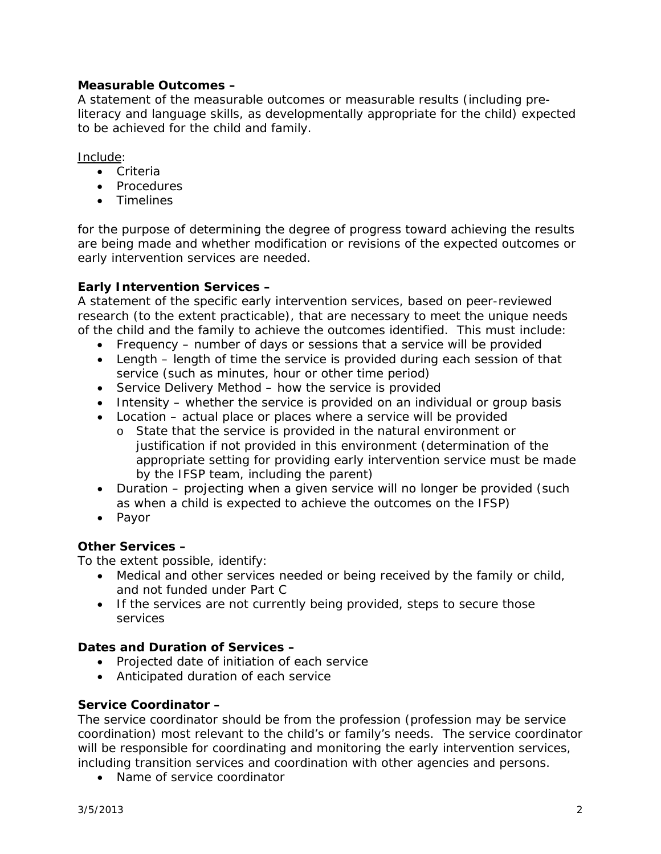#### **Measurable Outcomes –**

A statement of the measurable outcomes or measurable results (including preliteracy and language skills, as developmentally appropriate for the child) expected to be achieved for the child and family.

Include:

- Criteria
- Procedures
- Timelines

for the purpose of determining the degree of progress toward achieving the results are being made and whether modification or revisions of the expected outcomes or early intervention services are needed.

## **Early Intervention Services –**

A statement of the specific early intervention services, based on peer-reviewed research (to the extent practicable), that are necessary to meet the unique needs of the child and the family to achieve the outcomes identified. This must include:

- Frequency number of days or sessions that a service will be provided
- Length length of time the service is provided during each session of that service (such as minutes, hour or other time period)
- Service Delivery Method how the service is provided
- Intensity whether the service is provided on an individual or group basis
- Location actual place or places where a service will be provided
	- o State that the service is provided in the natural environment or justification if not provided in this environment (determination of the appropriate setting for providing early intervention service must be made by the IFSP team, including the parent)
- Duration projecting when a given service will no longer be provided (such as when a child is expected to achieve the outcomes on the IFSP)
- Payor

## **Other Services –**

To the extent possible, identify:

- Medical and other services needed or being received by the family or child, and not funded under Part C
- If the services are not currently being provided, steps to secure those services

## **Dates and Duration of Services –**

- Projected date of initiation of each service
- Anticipated duration of each service

## **Service Coordinator –**

The service coordinator should be from the profession (profession may be service coordination) most relevant to the child's or family's needs. The service coordinator will be responsible for coordinating and monitoring the early intervention services, including transition services and coordination with other agencies and persons.

• Name of service coordinator